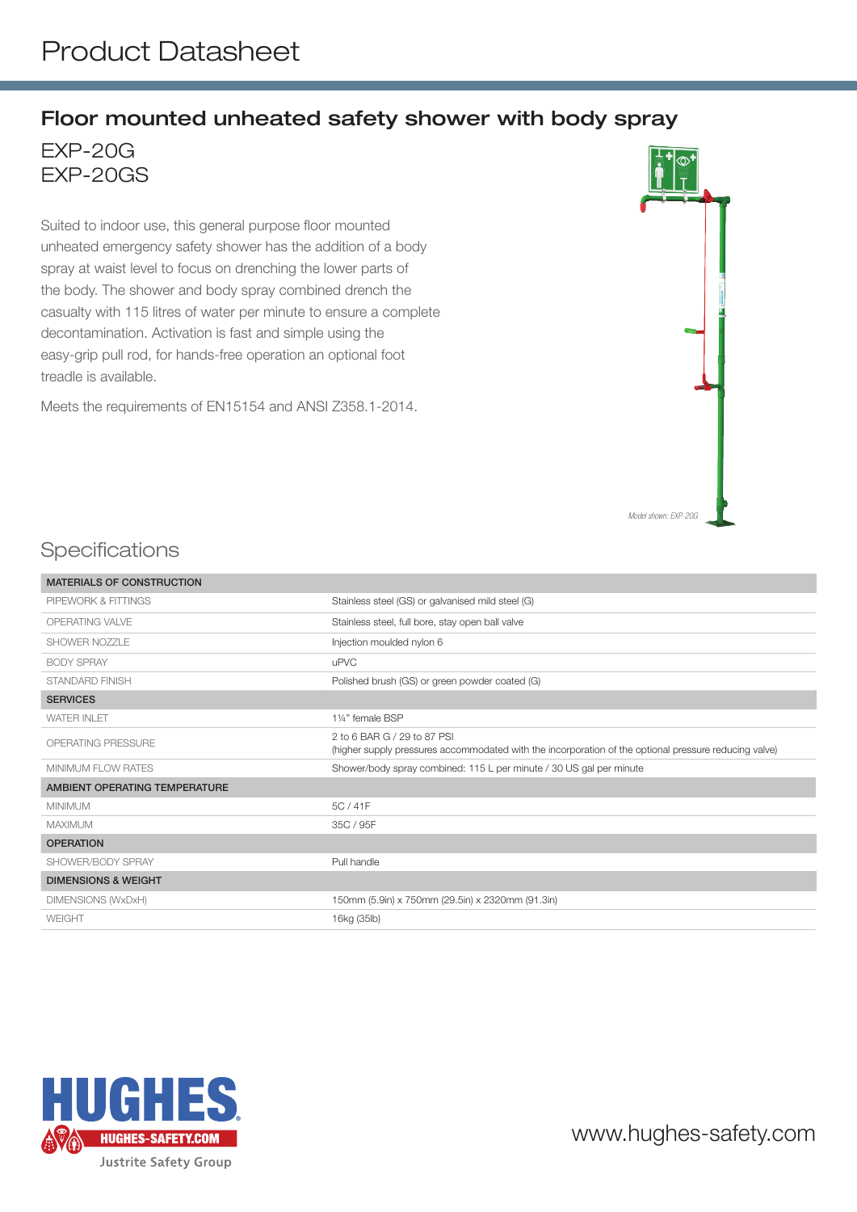## Floor mounted unheated safety shower with body spray

EXP-20G EXP-20GS

Suited to indoor use, this general purpose floor mounted unheated emergency safety shower has the addition of a body spray at waist level to focus on drenching the lower parts of the body. The shower and body spray combined drench the casualty with 115 litres of water per minute to ensure a complete decontamination. Activation is fast and simple using the easy-grip pull rod, for hands-free operation an optional foot treadle is available.

Meets the requirements of EN15154 and ANSI Z358.1-2014.



## **Specifications**

| <b>MATERIALS OF CONSTRUCTION</b> |                                                                                                                                      |
|----------------------------------|--------------------------------------------------------------------------------------------------------------------------------------|
| PIPEWORK & FITTINGS              | Stainless steel (GS) or galvanised mild steel (G)                                                                                    |
| OPERATING VALVE                  | Stainless steel, full bore, stay open ball valve                                                                                     |
| SHOWER NOZZLE                    | Injection moulded nylon 6                                                                                                            |
| <b>BODY SPRAY</b>                | <b>uPVC</b>                                                                                                                          |
| <b>STANDARD FINISH</b>           | Polished brush (GS) or green powder coated (G)                                                                                       |
| <b>SERVICES</b>                  |                                                                                                                                      |
| <b>WATER INLET</b>               | 11/4" female BSP                                                                                                                     |
| <b>OPERATING PRESSURE</b>        | 2 to 6 BAR G / 29 to 87 PSI<br>(higher supply pressures accommodated with the incorporation of the optional pressure reducing valve) |
| <b>MINIMUM FLOW RATES</b>        | Shower/body spray combined: 115 L per minute / 30 US gal per minute                                                                  |
| AMBIENT OPERATING TEMPERATURE    |                                                                                                                                      |
| <b>MINIMUM</b>                   | 5C / 41F                                                                                                                             |
| <b>MAXIMUM</b>                   | 35C / 95F                                                                                                                            |
| <b>OPERATION</b>                 |                                                                                                                                      |
| SHOWER/BODY SPRAY                | Pull handle                                                                                                                          |
| <b>DIMENSIONS &amp; WEIGHT</b>   |                                                                                                                                      |
| DIMENSIONS (WxDxH)               | 150mm (5.9in) x 750mm (29.5in) x 2320mm (91.3in)                                                                                     |
| WEIGHT                           | 16kg (35lb)                                                                                                                          |